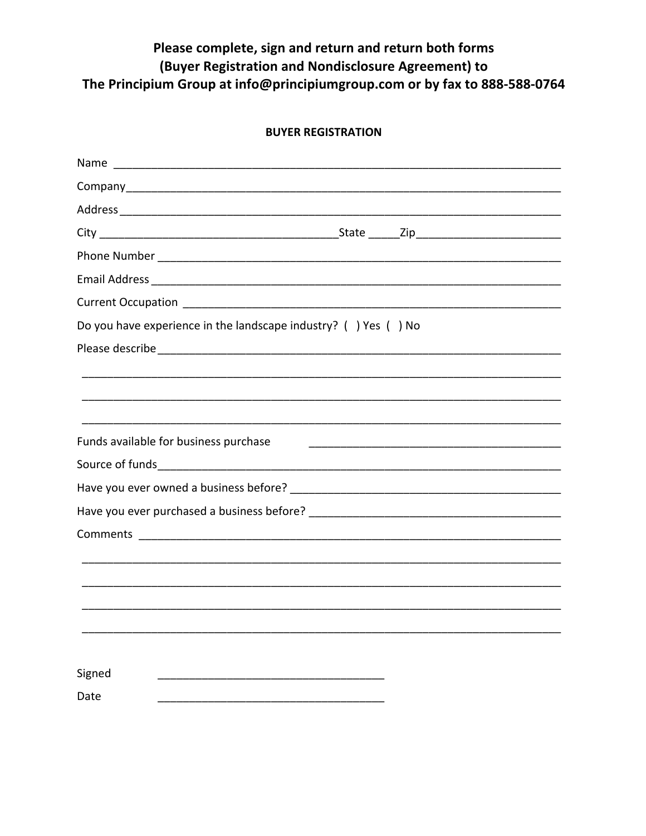## Please complete, sign and return and return both forms (Buyer Registration and Nondisclosure Agreement) to The Principium Group at info@principiumgroup.com or by fax to 888-588-0764

## **BUYER REGISTRATION**

| Do you have experience in the landscape industry? $( )$ Yes $( )$ No |  |
|----------------------------------------------------------------------|--|
|                                                                      |  |
|                                                                      |  |
|                                                                      |  |
|                                                                      |  |
| Funds available for business purchase                                |  |
|                                                                      |  |
|                                                                      |  |
|                                                                      |  |
|                                                                      |  |
|                                                                      |  |
|                                                                      |  |
|                                                                      |  |
|                                                                      |  |
|                                                                      |  |
| Signed                                                               |  |
| Date                                                                 |  |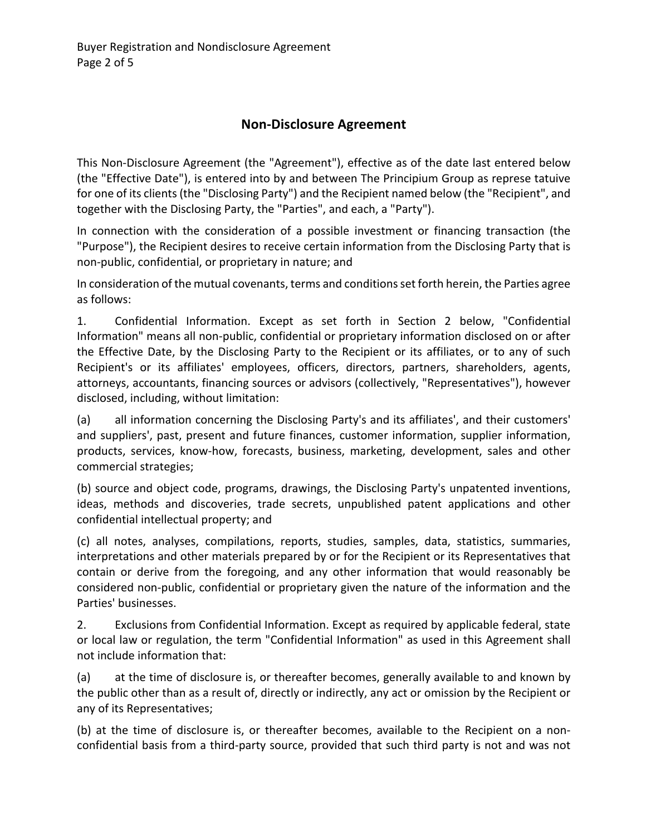## **Non-Disclosure Agreement**

This Non-Disclosure Agreement (the "Agreement"), effective as of the date last entered below (the "Effective Date"), is entered into by and between The Principium Group as represe tatuive for one of its clients(the "Disclosing Party") and the Recipient named below (the "Recipient", and together with the Disclosing Party, the "Parties", and each, a "Party").

In connection with the consideration of a possible investment or financing transaction (the "Purpose"), the Recipient desires to receive certain information from the Disclosing Party that is non-public, confidential, or proprietary in nature; and

In consideration of the mutual covenants, terms and conditions set forth herein, the Parties agree as follows:

1. Confidential Information. Except as set forth in Section 2 below, "Confidential Information" means all non-public, confidential or proprietary information disclosed on or after the Effective Date, by the Disclosing Party to the Recipient or its affiliates, or to any of such Recipient's or its affiliates' employees, officers, directors, partners, shareholders, agents, attorneys, accountants, financing sources or advisors (collectively, "Representatives"), however disclosed, including, without limitation:

(a) all information concerning the Disclosing Party's and its affiliates', and their customers' and suppliers', past, present and future finances, customer information, supplier information, products, services, know-how, forecasts, business, marketing, development, sales and other commercial strategies;

(b) source and object code, programs, drawings, the Disclosing Party's unpatented inventions, ideas, methods and discoveries, trade secrets, unpublished patent applications and other confidential intellectual property; and

(c) all notes, analyses, compilations, reports, studies, samples, data, statistics, summaries, interpretations and other materials prepared by or for the Recipient or its Representatives that contain or derive from the foregoing, and any other information that would reasonably be considered non-public, confidential or proprietary given the nature of the information and the Parties' businesses.

2. Exclusions from Confidential Information. Except as required by applicable federal, state or local law or regulation, the term "Confidential Information" as used in this Agreement shall not include information that:

(a) at the time of disclosure is, or thereafter becomes, generally available to and known by the public other than as a result of, directly or indirectly, any act or omission by the Recipient or any of its Representatives;

(b) at the time of disclosure is, or thereafter becomes, available to the Recipient on a nonconfidential basis from a third-party source, provided that such third party is not and was not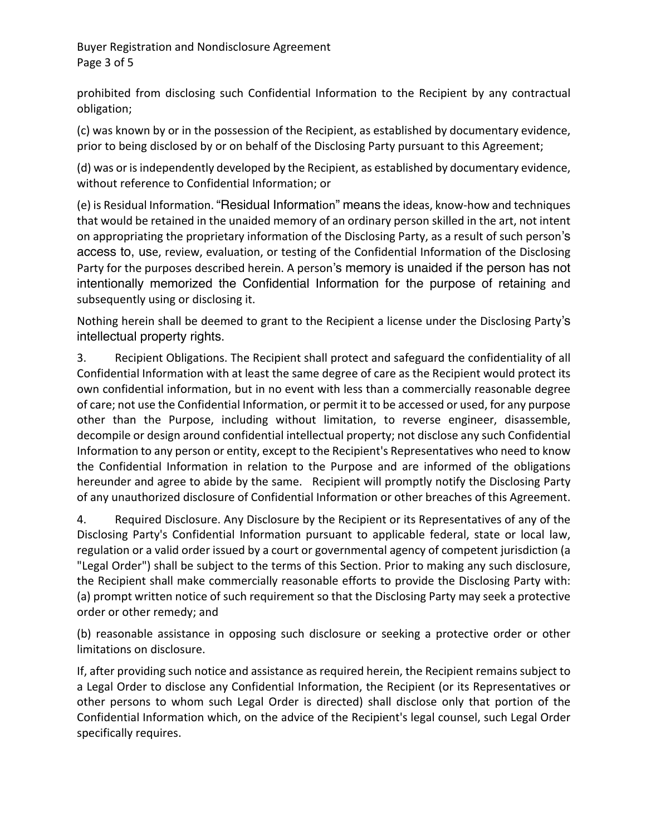Buyer Registration and Nondisclosure Agreement Page 3 of 5

prohibited from disclosing such Confidential Information to the Recipient by any contractual obligation;

(c) was known by or in the possession of the Recipient, as established by documentary evidence, prior to being disclosed by or on behalf of the Disclosing Party pursuant to this Agreement;

(d) was or is independently developed by the Recipient, as established by documentary evidence, without reference to Confidential Information; or

(e) is Residual Information. "Residual Information" means the ideas, know-how and techniques that would be retained in the unaided memory of an ordinary person skilled in the art, not intent on appropriating the proprietary information of the Disclosing Party, as a result of such person's access to, use, review, evaluation, or testing of the Confidential Information of the Disclosing Party for the purposes described herein. A person's memory is unaided if the person has not intentionally memorized the Confidential Information for the purpose of retaining and subsequently using or disclosing it.

Nothing herein shall be deemed to grant to the Recipient a license under the Disclosing Party's intellectual property rights.

3. Recipient Obligations. The Recipient shall protect and safeguard the confidentiality of all Confidential Information with at least the same degree of care as the Recipient would protect its own confidential information, but in no event with less than a commercially reasonable degree of care; not use the Confidential Information, or permit it to be accessed or used, for any purpose other than the Purpose, including without limitation, to reverse engineer, disassemble, decompile or design around confidential intellectual property; not disclose any such Confidential Information to any person or entity, except to the Recipient's Representatives who need to know the Confidential Information in relation to the Purpose and are informed of the obligations hereunder and agree to abide by the same. Recipient will promptly notify the Disclosing Party of any unauthorized disclosure of Confidential Information or other breaches of this Agreement.

4. Required Disclosure. Any Disclosure by the Recipient or its Representatives of any of the Disclosing Party's Confidential Information pursuant to applicable federal, state or local law, regulation or a valid order issued by a court or governmental agency of competent jurisdiction (a "Legal Order") shall be subject to the terms of this Section. Prior to making any such disclosure, the Recipient shall make commercially reasonable efforts to provide the Disclosing Party with: (a) prompt written notice of such requirement so that the Disclosing Party may seek a protective order or other remedy; and

(b) reasonable assistance in opposing such disclosure or seeking a protective order or other limitations on disclosure.

If, after providing such notice and assistance as required herein, the Recipient remains subject to a Legal Order to disclose any Confidential Information, the Recipient (or its Representatives or other persons to whom such Legal Order is directed) shall disclose only that portion of the Confidential Information which, on the advice of the Recipient's legal counsel, such Legal Order specifically requires.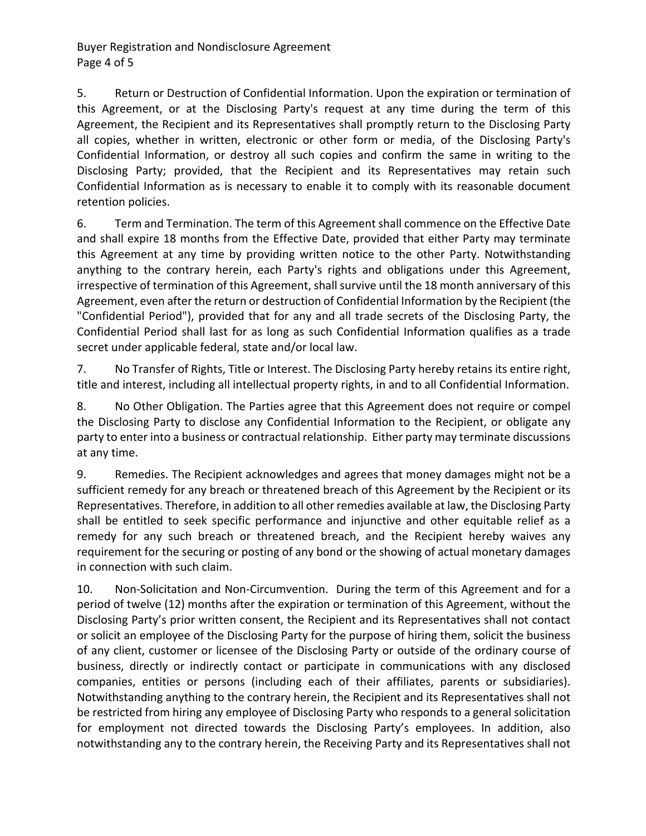Buyer Registration and Nondisclosure Agreement Page 4 of 5

5. Return or Destruction of Confidential Information. Upon the expiration or termination of this Agreement, or at the Disclosing Party's request at any time during the term of this Agreement, the Recipient and its Representatives shall promptly return to the Disclosing Party all copies, whether in written, electronic or other form or media, of the Disclosing Party's Confidential Information, or destroy all such copies and confirm the same in writing to the Disclosing Party; provided, that the Recipient and its Representatives may retain such Confidential Information as is necessary to enable it to comply with its reasonable document retention policies.

6. Term and Termination. The term of this Agreement shall commence on the Effective Date and shall expire 18 months from the Effective Date, provided that either Party may terminate this Agreement at any time by providing written notice to the other Party. Notwithstanding anything to the contrary herein, each Party's rights and obligations under this Agreement, irrespective of termination of this Agreement, shall survive until the 18 month anniversary of this Agreement, even after the return or destruction of Confidential Information by the Recipient (the "Confidential Period"), provided that for any and all trade secrets of the Disclosing Party, the Confidential Period shall last for as long as such Confidential Information qualifies as a trade secret under applicable federal, state and/or local law.

7. No Transfer of Rights, Title or Interest. The Disclosing Party hereby retains its entire right, title and interest, including all intellectual property rights, in and to all Confidential Information.

8. No Other Obligation. The Parties agree that this Agreement does not require or compel the Disclosing Party to disclose any Confidential Information to the Recipient, or obligate any party to enter into a business or contractual relationship. Either party may terminate discussions at any time.

9. Remedies. The Recipient acknowledges and agrees that money damages might not be a sufficient remedy for any breach or threatened breach of this Agreement by the Recipient or its Representatives. Therefore, in addition to all other remedies available at law, the Disclosing Party shall be entitled to seek specific performance and injunctive and other equitable relief as a remedy for any such breach or threatened breach, and the Recipient hereby waives any requirement for the securing or posting of any bond or the showing of actual monetary damages in connection with such claim.

10. Non-Solicitation and Non-Circumvention. During the term of this Agreement and for a period of twelve (12) months after the expiration or termination of this Agreement, without the Disclosing Party's prior written consent, the Recipient and its Representatives shall not contact or solicit an employee of the Disclosing Party for the purpose of hiring them, solicit the business of any client, customer or licensee of the Disclosing Party or outside of the ordinary course of business, directly or indirectly contact or participate in communications with any disclosed companies, entities or persons (including each of their affiliates, parents or subsidiaries). Notwithstanding anything to the contrary herein, the Recipient and its Representatives shall not be restricted from hiring any employee of Disclosing Party who responds to a general solicitation for employment not directed towards the Disclosing Party's employees. In addition, also notwithstanding any to the contrary herein, the Receiving Party and its Representatives shall not